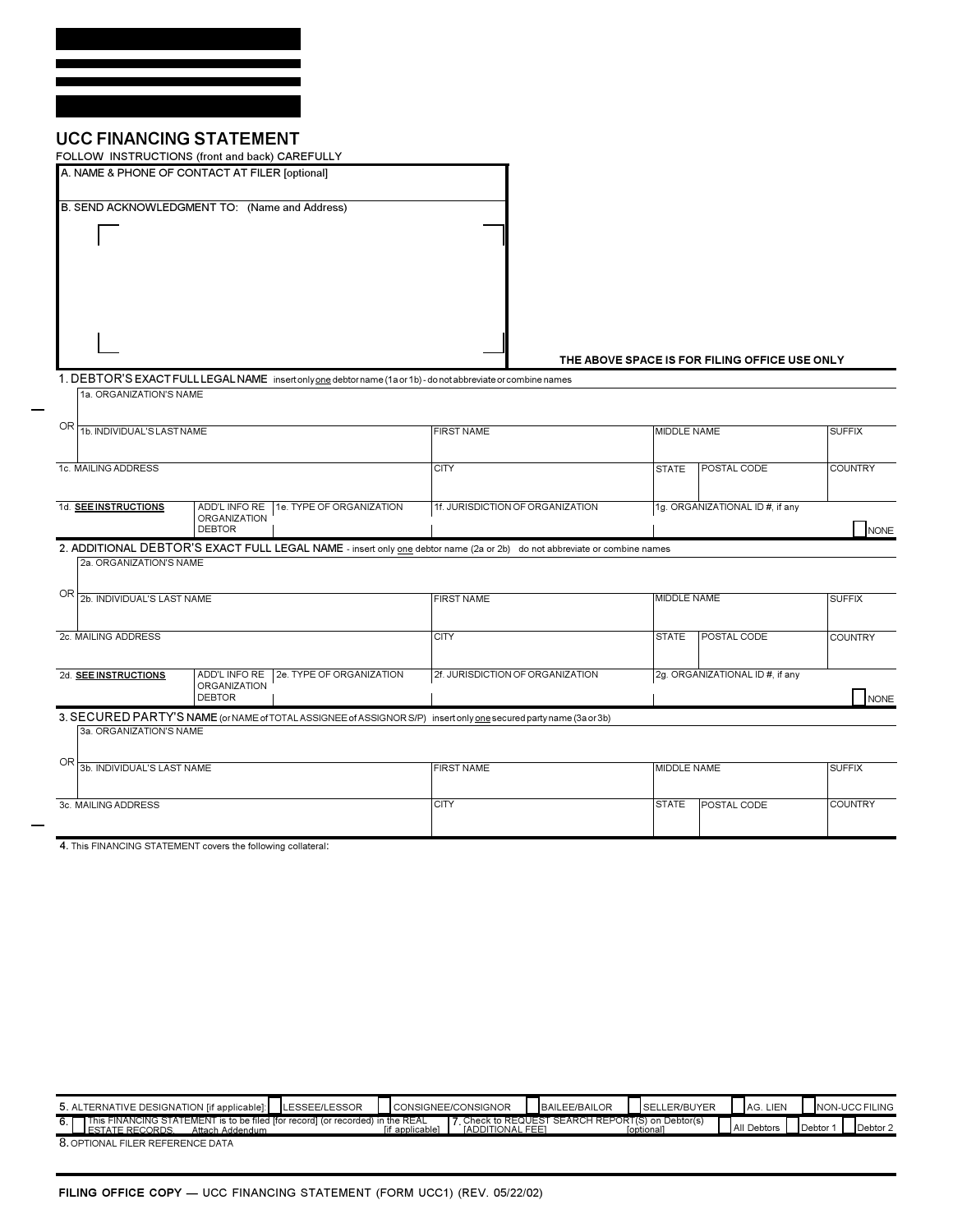## **UCC FINANCING STATEMENT**

|                                                                                                           | FOLLOW INSTRUCTIONS (front and back) CAREFULLY |                                      |                                                                                                                          |                                         |                    |                                               |                |  |
|-----------------------------------------------------------------------------------------------------------|------------------------------------------------|--------------------------------------|--------------------------------------------------------------------------------------------------------------------------|-----------------------------------------|--------------------|-----------------------------------------------|----------------|--|
|                                                                                                           | A. NAME & PHONE OF CONTACT AT FILER [optional] |                                      |                                                                                                                          |                                         |                    |                                               |                |  |
|                                                                                                           | B. SEND ACKNOWLEDGMENT TO: (Name and Address)  |                                      |                                                                                                                          |                                         |                    |                                               |                |  |
|                                                                                                           |                                                |                                      |                                                                                                                          |                                         |                    |                                               |                |  |
|                                                                                                           |                                                |                                      |                                                                                                                          |                                         |                    | THE ABOVE SPACE IS FOR FILING OFFICE USE ONLY |                |  |
|                                                                                                           |                                                |                                      | 1. DEBTOR'S EXACT FULL LEGAL NAME insertonly one debtor name (1a or 1b) - do not abbreviate or combine names             |                                         |                    |                                               |                |  |
|                                                                                                           | 1a. ORGANIZATION'S NAME                        |                                      |                                                                                                                          |                                         |                    |                                               |                |  |
| OR                                                                                                        | 1b. INDIVIDUAL'S LAST NAME                     |                                      |                                                                                                                          | <b>FIRST NAME</b>                       |                    | MIDDLE NAME                                   |                |  |
| 1c. MAILING ADDRESS                                                                                       |                                                |                                      |                                                                                                                          | <b>CITY</b>                             | <b>STATE</b>       | <b>POSTAL CODE</b>                            | <b>COUNTRY</b> |  |
|                                                                                                           | 1d. SEE INSTRUCTIONS                           | <b>ORGANIZATION</b><br><b>DEBTOR</b> | ADD'L INFO RE   1e. TYPE OF ORGANIZATION                                                                                 | 1f. JURISDICTION OF ORGANIZATION        |                    | 1g. ORGANIZATIONAL ID #, if any               | NONE           |  |
|                                                                                                           |                                                |                                      | 2. ADDITIONAL DEBTOR'S EXACT FULL LEGAL NAME - insert only one debtor name (2a or 2b) do not abbreviate or combine names |                                         |                    |                                               |                |  |
|                                                                                                           | 2a. ORGANIZATION'S NAME                        |                                      |                                                                                                                          |                                         |                    |                                               |                |  |
| OR                                                                                                        |                                                | 2b. INDIVIDUAL'S LAST NAME           |                                                                                                                          |                                         | <b>MIDDLE NAME</b> | <b>SUFFIX</b>                                 |                |  |
|                                                                                                           | 2c. MAILING ADDRESS                            |                                      |                                                                                                                          | <b>CITY</b>                             | <b>STATE</b>       | <b>POSTAL CODE</b>                            | <b>COUNTRY</b> |  |
| 2d. SEE INSTRUCTIONS<br>ADD'L INFO RE<br>2e. TYPE OF ORGANIZATION<br><b>ORGANIZATION</b><br><b>DEBTOR</b> |                                                |                                      | 2f. JURISDICTION OF ORGANIZATION                                                                                         | 2g. ORGANIZATIONAL ID #, if any<br>NONE |                    |                                               |                |  |
|                                                                                                           |                                                |                                      | 3. SECURED PARTY'S NAME (or NAME of TOTAL ASSIGNEE of ASSIGNOR S/P) insertonly one secured party name (3a or 3b)         |                                         |                    |                                               |                |  |
|                                                                                                           | 3a, ORGANIZATION'S NAME                        |                                      |                                                                                                                          |                                         |                    |                                               |                |  |
|                                                                                                           | <b>OR</b><br>3b. INDIVIDUAL'S LAST NAME        |                                      |                                                                                                                          | <b>FIRST NAME</b>                       | MIDDLE NAME        | <b>SUFFIX</b>                                 |                |  |
| 3c. MAILING ADDRESS                                                                                       |                                                |                                      |                                                                                                                          | <b>CITY</b>                             | <b>STATE</b>       | POSTAL CODE                                   | <b>COUNTRY</b> |  |
|                                                                                                           | THE FILIPPINE OF CHARGING                      |                                      |                                                                                                                          |                                         |                    |                                               |                |  |

4 This FINANCING STATEMENT covers the following collateral:

| 5. ALTERNATIVE DESIGNATION [if applicable]:                                                                                  | <b>LESSEE/LESSOR</b> |               | <b>ICONSIGNEE/CONSIGNOR</b> | BAILEE/BAILOR                                    | <b>SELLER/BUYER</b> | <b>AG. LIEN</b> |        | <b>INON-UCC FILING</b> |
|------------------------------------------------------------------------------------------------------------------------------|----------------------|---------------|-----------------------------|--------------------------------------------------|---------------------|-----------------|--------|------------------------|
| This FINANCING STATEMENT is to be filed ffor record1 (or recorded) in the REAL<br><b>JESTATE RECORDS.</b><br>Attach Addendum |                      | f applicable] | <b>IADDITIONAL FEET</b>     | 7 Check to REQUEST SEARCH REPORT(S) on Debtor(s) | loptionall          | All Debtors     | Debtor | Debtor <sub>2</sub>    |
| 8. OPTIONAL FILER REFERENCE DATA                                                                                             |                      |               |                             |                                                  |                     |                 |        |                        |